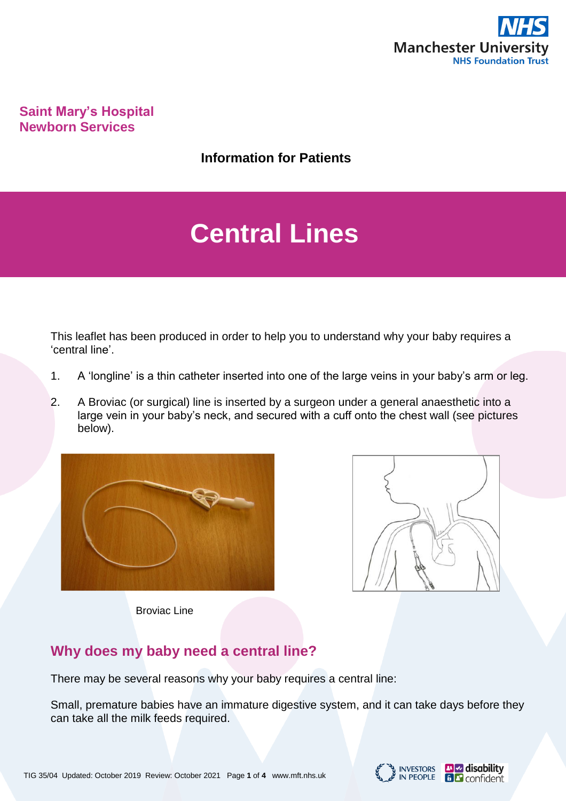

**Saint Mary's Hospital Newborn Services**

**Information for Patients**

# **Central Lines**

This leaflet has been produced in order to help you to understand why your baby requires a 'central line'.

- 1. A 'longline' is a thin catheter inserted into one of the large veins in your baby's arm or leg.
- 2. A Broviac (or surgical) line is inserted by a surgeon under a general anaesthetic into a large vein in your baby's neck, and secured with a cuff onto the chest wall (see pictures below).





Broviac Line

# **Why does my baby need a central line?**

There may be several reasons why your baby requires a central line:

Small, premature babies have an immature digestive system, and it can take days before they can take all the milk feeds required.

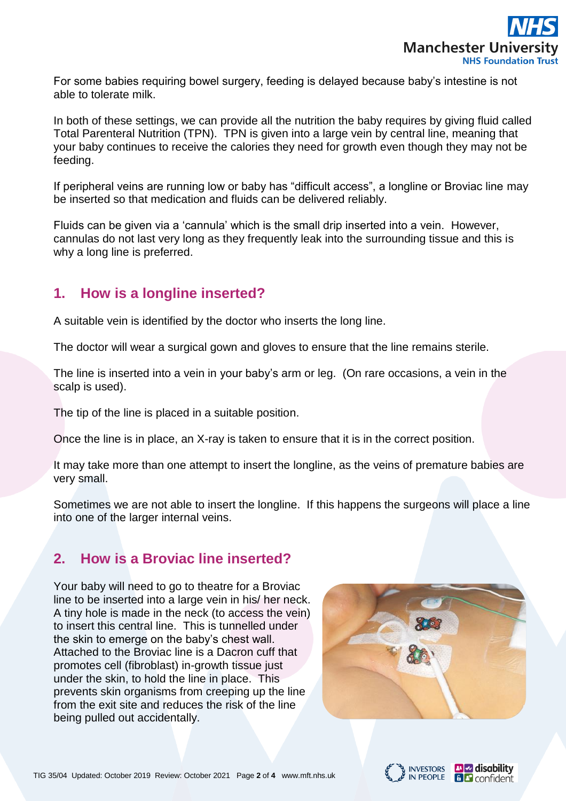

For some babies requiring bowel surgery, feeding is delayed because baby's intestine is not able to tolerate milk.

In both of these settings, we can provide all the nutrition the baby requires by giving fluid called Total Parenteral Nutrition (TPN). TPN is given into a large vein by central line, meaning that your baby continues to receive the calories they need for growth even though they may not be feeding.

If peripheral veins are running low or baby has "difficult access", a longline or Broviac line may be inserted so that medication and fluids can be delivered reliably.

Fluids can be given via a 'cannula' which is the small drip inserted into a vein. However, cannulas do not last very long as they frequently leak into the surrounding tissue and this is why a long line is preferred.

## **1. How is a longline inserted?**

A suitable vein is identified by the doctor who inserts the long line.

The doctor will wear a surgical gown and gloves to ensure that the line remains sterile.

The line is inserted into a vein in your baby's arm or leg. (On rare occasions, a vein in the scalp is used).

The tip of the line is placed in a suitable position.

Once the line is in place, an X-ray is taken to ensure that it is in the correct position.

It may take more than one attempt to insert the longline, as the veins of premature babies are very small.

Sometimes we are not able to insert the longline. If this happens the surgeons will place a line into one of the larger internal veins.

# **2. How is a Broviac line inserted?**

Your baby will need to go to theatre for a Broviac line to be inserted into a large vein in his/ her neck. A tiny hole is made in the neck (to access the vein) to insert this central line. This is tunnelled under the skin to emerge on the baby's chest wall. Attached to the Broviac line is a Dacron cuff that promotes cell (fibroblast) in-growth tissue just under the skin, to hold the line in place. This prevents skin organisms from creeping up the line from the exit site and reduces the risk of the line being pulled out accidentally.





**Pl<sub>ss</sub>** disability

**B** confident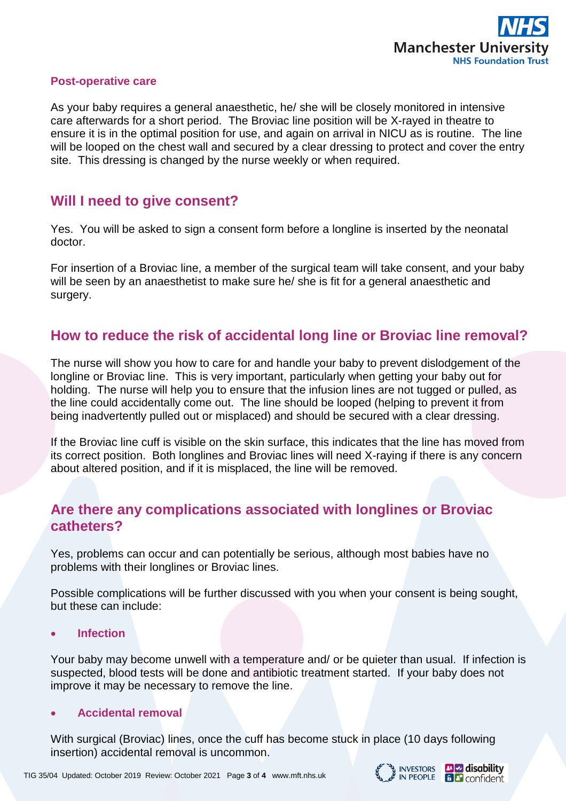

#### **Post-operative care**

As your baby requires a general anaesthetic, he/ she will be closely monitored in intensive care afterwards for a short period. The Broviac line position will be X-rayed in theatre to ensure it is in the optimal position for use, and again on arrival in NICU as is routine. The line will be looped on the chest wall and secured by a clear dressing to protect and cover the entry site. This dressing is changed by the nurse weekly or when required.

## **Will I need to give consent?**

Yes. You will be asked to sign a consent form before a longline is inserted by the neonatal doctor.

For insertion of a Broviac line, a member of the surgical team will take consent, and your baby will be seen by an anaesthetist to make sure he/ she is fit for a general anaesthetic and surgery.

## **How to reduce the risk of accidental long line or Broviac line removal?**

The nurse will show you how to care for and handle your baby to prevent dislodgement of the longline or Broviac line. This is very important, particularly when getting your baby out for holding. The nurse will help you to ensure that the infusion lines are not tugged or pulled, as the line could accidentally come out. The line should be looped (helping to prevent it from being inadvertently pulled out or misplaced) and should be secured with a clear dressing.

If the Broviac line cuff is visible on the skin surface, this indicates that the line has moved from its correct position. Both longlines and Broviac lines will need X-raying if there is any concern about altered position, and if it is misplaced, the line will be removed.

## **Are there any complications associated with longlines or Broviac catheters?**

Yes, problems can occur and can potentially be serious, although most babies have no problems with their longlines or Broviac lines.

Possible complications will be further discussed with you when your consent is being sought, but these can include:

• **Infection** 

Your baby may become unwell with a temperature and/ or be quieter than usual. If infection is suspected, blood tests will be done and antibiotic treatment started. If your baby does not improve it may be necessary to remove the line.

#### • **Accidental removal**

With surgical (Broviac) lines, once the cuff has become stuck in place (10 days following insertion) accidental removal is uncommon.